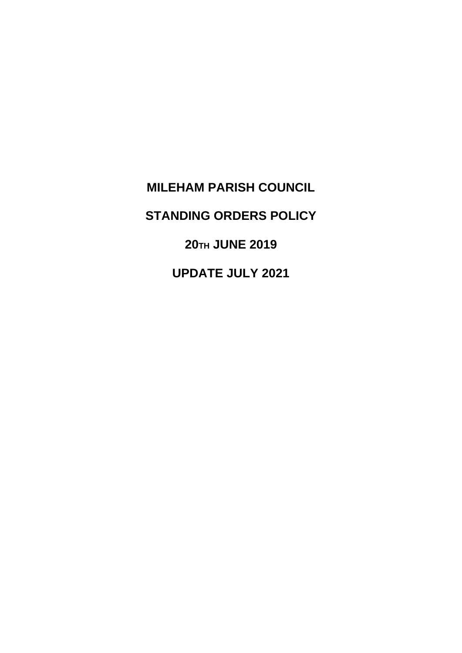**MILEHAM PARISH COUNCIL STANDING ORDERS POLICY 20TH JUNE 2019 UPDATE JULY 2021**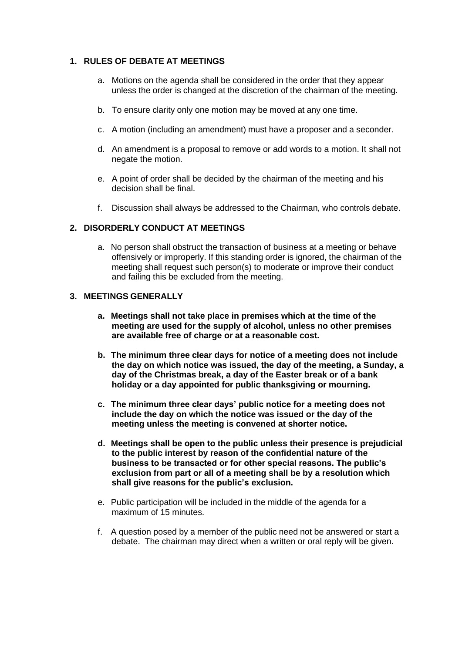### **1. RULES OF DEBATE AT MEETINGS**

- a. Motions on the agenda shall be considered in the order that they appear unless the order is changed at the discretion of the chairman of the meeting.
- b. To ensure clarity only one motion may be moved at any one time.
- c. A motion (including an amendment) must have a proposer and a seconder.
- d. An amendment is a proposal to remove or add words to a motion. It shall not negate the motion.
- e. A point of order shall be decided by the chairman of the meeting and his decision shall be final.
- f. Discussion shall always be addressed to the Chairman, who controls debate.

### **2. DISORDERLY CONDUCT AT MEETINGS**

a. No person shall obstruct the transaction of business at a meeting or behave offensively or improperly. If this standing order is ignored, the chairman of the meeting shall request such person(s) to moderate or improve their conduct and failing this be excluded from the meeting.

#### **3. MEETINGS GENERALLY**

- **a. Meetings shall not take place in premises which at the time of the meeting are used for the supply of alcohol, unless no other premises are available free of charge or at a reasonable cost.**
- **b. The minimum three clear days for notice of a meeting does not include the day on which notice was issued, the day of the meeting, a Sunday, a day of the Christmas break, a day of the Easter break or of a bank holiday or a day appointed for public thanksgiving or mourning.**
- **c. The minimum three clear days' public notice for a meeting does not include the day on which the notice was issued or the day of the meeting unless the meeting is convened at shorter notice.**
- **d. Meetings shall be open to the public unless their presence is prejudicial to the public interest by reason of the confidential nature of the business to be transacted or for other special reasons. The public's exclusion from part or all of a meeting shall be by a resolution which shall give reasons for the public's exclusion.**
- e. Public participation will be included in the middle of the agenda for a maximum of 15 minutes.
- f. A question posed by a member of the public need not be answered or start a debate. The chairman may direct when a written or oral reply will be given.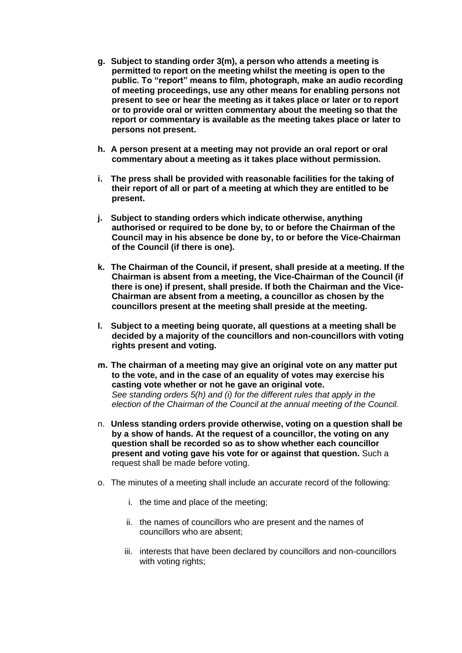- **g. Subject to standing order 3(m), a person who attends a meeting is permitted to report on the meeting whilst the meeting is open to the public. To "report" means to film, photograph, make an audio recording of meeting proceedings, use any other means for enabling persons not present to see or hear the meeting as it takes place or later or to report or to provide oral or written commentary about the meeting so that the report or commentary is available as the meeting takes place or later to persons not present.**
- **h. A person present at a meeting may not provide an oral report or oral commentary about a meeting as it takes place without permission.**
- **i. The press shall be provided with reasonable facilities for the taking of their report of all or part of a meeting at which they are entitled to be present.**
- **j. Subject to standing orders which indicate otherwise, anything authorised or required to be done by, to or before the Chairman of the Council may in his absence be done by, to or before the Vice-Chairman of the Council (if there is one).**
- **k. The Chairman of the Council, if present, shall preside at a meeting. If the Chairman is absent from a meeting, the Vice-Chairman of the Council (if there is one) if present, shall preside. If both the Chairman and the Vice-Chairman are absent from a meeting, a councillor as chosen by the councillors present at the meeting shall preside at the meeting.**
- **l. Subject to a meeting being quorate, all questions at a meeting shall be decided by a majority of the councillors and non-councillors with voting rights present and voting.**
- **m. The chairman of a meeting may give an original vote on any matter put to the vote, and in the case of an equality of votes may exercise his casting vote whether or not he gave an original vote.** *See standing orders 5(h) and (i) for the different rules that apply in the election of the Chairman of the Council at the annual meeting of the Council.*
- n. **Unless standing orders provide otherwise, voting on a question shall be by a show of hands. At the request of a councillor, the voting on any question shall be recorded so as to show whether each councillor present and voting gave his vote for or against that question.** Such a request shall be made before voting.
- o. The minutes of a meeting shall include an accurate record of the following:
	- i. the time and place of the meeting;
	- ii. the names of councillors who are present and the names of councillors who are absent;
	- iii. interests that have been declared by councillors and non-councillors with voting rights;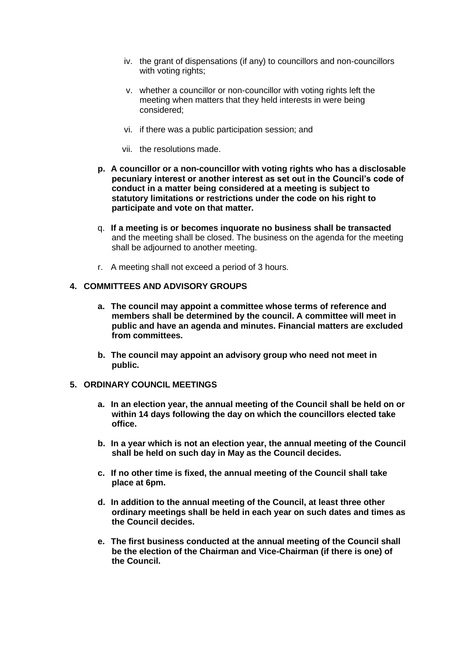- iv. the grant of dispensations (if any) to councillors and non-councillors with voting rights;
- v. whether a councillor or non-councillor with voting rights left the meeting when matters that they held interests in were being considered;
- vi. if there was a public participation session; and
- vii. the resolutions made.
- **p. A councillor or a non-councillor with voting rights who has a disclosable pecuniary interest or another interest as set out in the Council's code of conduct in a matter being considered at a meeting is subject to statutory limitations or restrictions under the code on his right to participate and vote on that matter.**
- q. **If a meeting is or becomes inquorate no business shall be transacted** and the meeting shall be closed. The business on the agenda for the meeting shall be adjourned to another meeting.
- r. A meeting shall not exceed a period of 3 hours.

#### **4. COMMITTEES AND ADVISORY GROUPS**

- **a. The council may appoint a committee whose terms of reference and members shall be determined by the council. A committee will meet in public and have an agenda and minutes. Financial matters are excluded from committees.**
- **b. The council may appoint an advisory group who need not meet in public.**

### **5. ORDINARY COUNCIL MEETINGS**

- **a. In an election year, the annual meeting of the Council shall be held on or within 14 days following the day on which the councillors elected take office.**
- **b. In a year which is not an election year, the annual meeting of the Council shall be held on such day in May as the Council decides.**
- **c. If no other time is fixed, the annual meeting of the Council shall take place at 6pm.**
- **d. In addition to the annual meeting of the Council, at least three other ordinary meetings shall be held in each year on such dates and times as the Council decides.**
- **e. The first business conducted at the annual meeting of the Council shall be the election of the Chairman and Vice-Chairman (if there is one) of the Council.**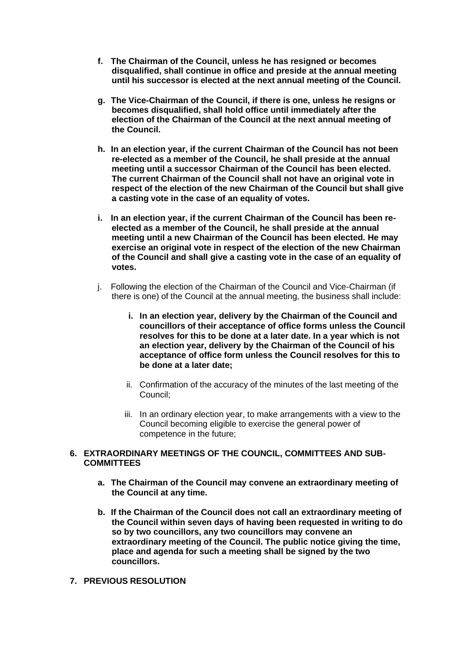- **f. The Chairman of the Council, unless he has resigned or becomes disqualified, shall continue in office and preside at the annual meeting until his successor is elected at the next annual meeting of the Council.**
- **g. The Vice-Chairman of the Council, if there is one, unless he resigns or becomes disqualified, shall hold office until immediately after the election of the Chairman of the Council at the next annual meeting of the Council.**
- **h. In an election year, if the current Chairman of the Council has not been re-elected as a member of the Council, he shall preside at the annual meeting until a successor Chairman of the Council has been elected. The current Chairman of the Council shall not have an original vote in respect of the election of the new Chairman of the Council but shall give a casting vote in the case of an equality of votes.**
- **i. In an election year, if the current Chairman of the Council has been reelected as a member of the Council, he shall preside at the annual meeting until a new Chairman of the Council has been elected. He may exercise an original vote in respect of the election of the new Chairman of the Council and shall give a casting vote in the case of an equality of votes.**
- j. Following the election of the Chairman of the Council and Vice-Chairman (if there is one) of the Council at the annual meeting, the business shall include:
	- **i. In an election year, delivery by the Chairman of the Council and councillors of their acceptance of office forms unless the Council resolves for this to be done at a later date. In a year which is not an election year, delivery by the Chairman of the Council of his acceptance of office form unless the Council resolves for this to be done at a later date;**
	- ii. Confirmation of the accuracy of the minutes of the last meeting of the Council;
	- iii. In an ordinary election year, to make arrangements with a view to the Council becoming eligible to exercise the general power of competence in the future;

### **6. EXTRAORDINARY MEETINGS OF THE COUNCIL, COMMITTEES AND SUB-COMMITTEES**

- **a. The Chairman of the Council may convene an extraordinary meeting of the Council at any time.**
- **b. If the Chairman of the Council does not call an extraordinary meeting of the Council within seven days of having been requested in writing to do so by two councillors, any two councillors may convene an extraordinary meeting of the Council. The public notice giving the time, place and agenda for such a meeting shall be signed by the two councillors.**
- **7. PREVIOUS RESOLUTION**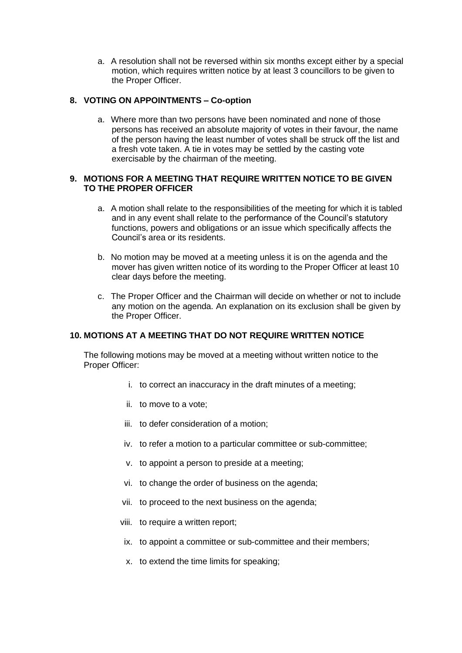a. A resolution shall not be reversed within six months except either by a special motion, which requires written notice by at least 3 councillors to be given to the Proper Officer.

## **8. VOTING ON APPOINTMENTS – Co-option**

a. Where more than two persons have been nominated and none of those persons has received an absolute majority of votes in their favour, the name of the person having the least number of votes shall be struck off the list and a fresh vote taken. A tie in votes may be settled by the casting vote exercisable by the chairman of the meeting.

### **9. MOTIONS FOR A MEETING THAT REQUIRE WRITTEN NOTICE TO BE GIVEN TO THE PROPER OFFICER**

- a. A motion shall relate to the responsibilities of the meeting for which it is tabled and in any event shall relate to the performance of the Council's statutory functions, powers and obligations or an issue which specifically affects the Council's area or its residents.
- b. No motion may be moved at a meeting unless it is on the agenda and the mover has given written notice of its wording to the Proper Officer at least 10 clear days before the meeting.
- c. The Proper Officer and the Chairman will decide on whether or not to include any motion on the agenda. An explanation on its exclusion shall be given by the Proper Officer.

### **10. MOTIONS AT A MEETING THAT DO NOT REQUIRE WRITTEN NOTICE**

The following motions may be moved at a meeting without written notice to the Proper Officer:

- i. to correct an inaccuracy in the draft minutes of a meeting;
- ii. to move to a vote;
- iii. to defer consideration of a motion;
- iv. to refer a motion to a particular committee or sub-committee;
- v. to appoint a person to preside at a meeting;
- vi. to change the order of business on the agenda;
- vii. to proceed to the next business on the agenda;
- viii. to require a written report;
- ix. to appoint a committee or sub-committee and their members;
- x. to extend the time limits for speaking;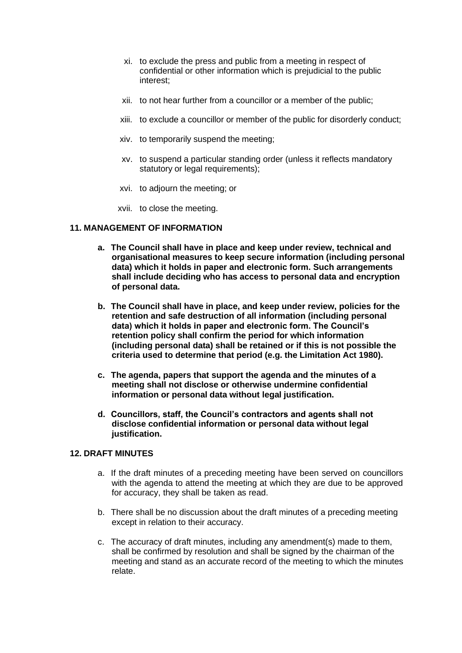- xi. to exclude the press and public from a meeting in respect of confidential or other information which is prejudicial to the public interest;
- xii. to not hear further from a councillor or a member of the public;
- xiii. to exclude a councillor or member of the public for disorderly conduct;
- xiv. to temporarily suspend the meeting;
- xv. to suspend a particular standing order (unless it reflects mandatory statutory or legal requirements);
- xvi. to adjourn the meeting; or
- xvii. to close the meeting.

### **11. MANAGEMENT OF INFORMATION**

- **a. The Council shall have in place and keep under review, technical and organisational measures to keep secure information (including personal data) which it holds in paper and electronic form. Such arrangements shall include deciding who has access to personal data and encryption of personal data.**
- **b. The Council shall have in place, and keep under review, policies for the retention and safe destruction of all information (including personal data) which it holds in paper and electronic form. The Council's retention policy shall confirm the period for which information (including personal data) shall be retained or if this is not possible the criteria used to determine that period (e.g. the Limitation Act 1980).**
- **c. The agenda, papers that support the agenda and the minutes of a meeting shall not disclose or otherwise undermine confidential information or personal data without legal justification.**
- **d. Councillors, staff, the Council's contractors and agents shall not disclose confidential information or personal data without legal justification.**

#### **12. DRAFT MINUTES**

- a. If the draft minutes of a preceding meeting have been served on councillors with the agenda to attend the meeting at which they are due to be approved for accuracy, they shall be taken as read.
- b. There shall be no discussion about the draft minutes of a preceding meeting except in relation to their accuracy.
- c. The accuracy of draft minutes, including any amendment(s) made to them, shall be confirmed by resolution and shall be signed by the chairman of the meeting and stand as an accurate record of the meeting to which the minutes relate.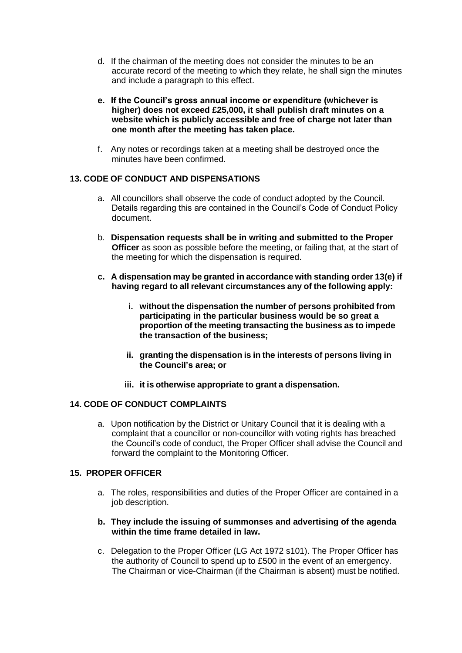- d. If the chairman of the meeting does not consider the minutes to be an accurate record of the meeting to which they relate, he shall sign the minutes and include a paragraph to this effect.
- **e. If the Council's gross annual income or expenditure (whichever is higher) does not exceed £25,000, it shall publish draft minutes on a website which is publicly accessible and free of charge not later than one month after the meeting has taken place.**
- f. Any notes or recordings taken at a meeting shall be destroyed once the minutes have been confirmed.

## **13. CODE OF CONDUCT AND DISPENSATIONS**

- a. All councillors shall observe the code of conduct adopted by the Council. Details regarding this are contained in the Council's Code of Conduct Policy document.
- b. **Dispensation requests shall be in writing and submitted to the Proper Officer** as soon as possible before the meeting, or failing that, at the start of the meeting for which the dispensation is required.
- **c. A dispensation may be granted in accordance with standing order 13(e) if having regard to all relevant circumstances any of the following apply:**
	- **i. without the dispensation the number of persons prohibited from participating in the particular business would be so great a proportion of the meeting transacting the business as to impede the transaction of the business;**
	- **ii. granting the dispensation is in the interests of persons living in the Council's area; or**
	- **iii. it is otherwise appropriate to grant a dispensation.**

# **14. CODE OF CONDUCT COMPLAINTS**

a. Upon notification by the District or Unitary Council that it is dealing with a complaint that a councillor or non-councillor with voting rights has breached the Council's code of conduct, the Proper Officer shall advise the Council and forward the complaint to the Monitoring Officer.

### **15. PROPER OFFICER**

- a. The roles, responsibilities and duties of the Proper Officer are contained in a job description.
- **b. They include the issuing of summonses and advertising of the agenda within the time frame detailed in law.**
- c. Delegation to the Proper Officer (LG Act 1972 s101). The Proper Officer has the authority of Council to spend up to £500 in the event of an emergency. The Chairman or vice-Chairman (if the Chairman is absent) must be notified.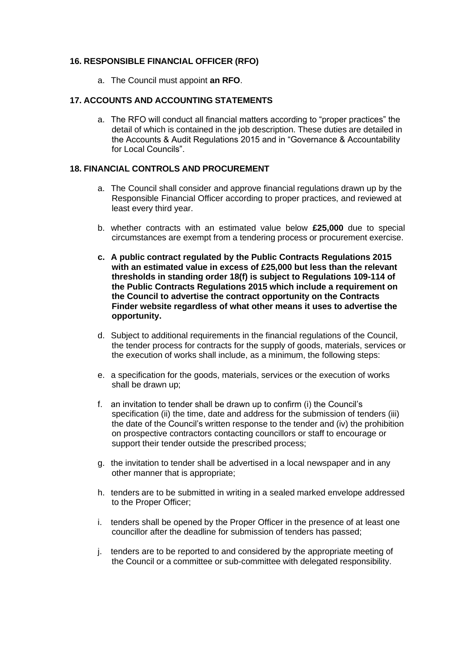#### **16. RESPONSIBLE FINANCIAL OFFICER (RFO)**

a. The Council must appoint **an RFO**.

#### **17. ACCOUNTS AND ACCOUNTING STATEMENTS**

a. The RFO will conduct all financial matters according to "proper practices" the detail of which is contained in the job description. These duties are detailed in the Accounts & Audit Regulations 2015 and in "Governance & Accountability for Local Councils".

### **18. FINANCIAL CONTROLS AND PROCUREMENT**

- a. The Council shall consider and approve financial regulations drawn up by the Responsible Financial Officer according to proper practices, and reviewed at least every third year.
- b. whether contracts with an estimated value below **£25,000** due to special circumstances are exempt from a tendering process or procurement exercise.
- **c. A public contract regulated by the Public Contracts Regulations 2015 with an estimated value in excess of £25,000 but less than the relevant thresholds in standing order 18(f) is subject to Regulations 109-114 of the Public Contracts Regulations 2015 which include a requirement on the Council to advertise the contract opportunity on the Contracts Finder website regardless of what other means it uses to advertise the opportunity.**
- d. Subject to additional requirements in the financial regulations of the Council, the tender process for contracts for the supply of goods, materials, services or the execution of works shall include, as a minimum, the following steps:
- e. a specification for the goods, materials, services or the execution of works shall be drawn up;
- f. an invitation to tender shall be drawn up to confirm (i) the Council's specification (ii) the time, date and address for the submission of tenders (iii) the date of the Council's written response to the tender and (iv) the prohibition on prospective contractors contacting councillors or staff to encourage or support their tender outside the prescribed process;
- g. the invitation to tender shall be advertised in a local newspaper and in any other manner that is appropriate;
- h. tenders are to be submitted in writing in a sealed marked envelope addressed to the Proper Officer;
- i. tenders shall be opened by the Proper Officer in the presence of at least one councillor after the deadline for submission of tenders has passed;
- j. tenders are to be reported to and considered by the appropriate meeting of the Council or a committee or sub-committee with delegated responsibility.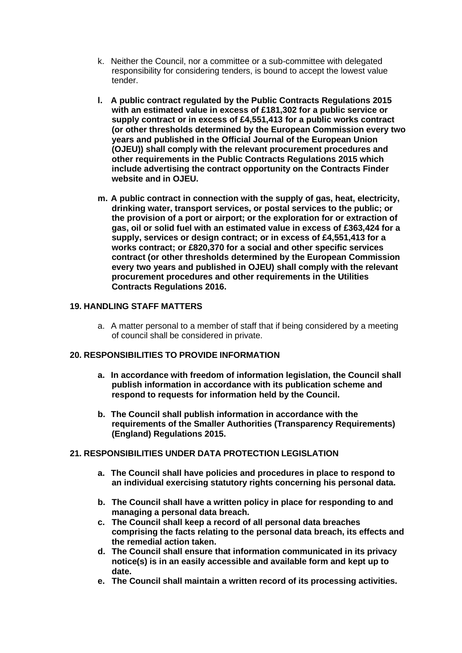- k. Neither the Council, nor a committee or a sub-committee with delegated responsibility for considering tenders, is bound to accept the lowest value tender.
- **l. A public contract regulated by the Public Contracts Regulations 2015 with an estimated value in excess of £181,302 for a public service or supply contract or in excess of £4,551,413 for a public works contract (or other thresholds determined by the European Commission every two years and published in the Official Journal of the European Union (OJEU)) shall comply with the relevant procurement procedures and other requirements in the Public Contracts Regulations 2015 which include advertising the contract opportunity on the Contracts Finder website and in OJEU.**
- **m. A public contract in connection with the supply of gas, heat, electricity, drinking water, transport services, or postal services to the public; or the provision of a port or airport; or the exploration for or extraction of gas, oil or solid fuel with an estimated value in excess of £363,424 for a supply, services or design contract; or in excess of £4,551,413 for a works contract; or £820,370 for a social and other specific services contract (or other thresholds determined by the European Commission every two years and published in OJEU) shall comply with the relevant procurement procedures and other requirements in the Utilities Contracts Regulations 2016.**

### **19. HANDLING STAFF MATTERS**

a. A matter personal to a member of staff that if being considered by a meeting of council shall be considered in private.

### **20. RESPONSIBILITIES TO PROVIDE INFORMATION**

- **a. In accordance with freedom of information legislation, the Council shall publish information in accordance with its publication scheme and respond to requests for information held by the Council.**
- **b. The Council shall publish information in accordance with the requirements of the Smaller Authorities (Transparency Requirements) (England) Regulations 2015.**

### **21. RESPONSIBILITIES UNDER DATA PROTECTION LEGISLATION**

- **a. The Council shall have policies and procedures in place to respond to an individual exercising statutory rights concerning his personal data.**
- **b. The Council shall have a written policy in place for responding to and managing a personal data breach.**
- **c. The Council shall keep a record of all personal data breaches comprising the facts relating to the personal data breach, its effects and the remedial action taken.**
- **d. The Council shall ensure that information communicated in its privacy notice(s) is in an easily accessible and available form and kept up to date.**
- **e. The Council shall maintain a written record of its processing activities.**